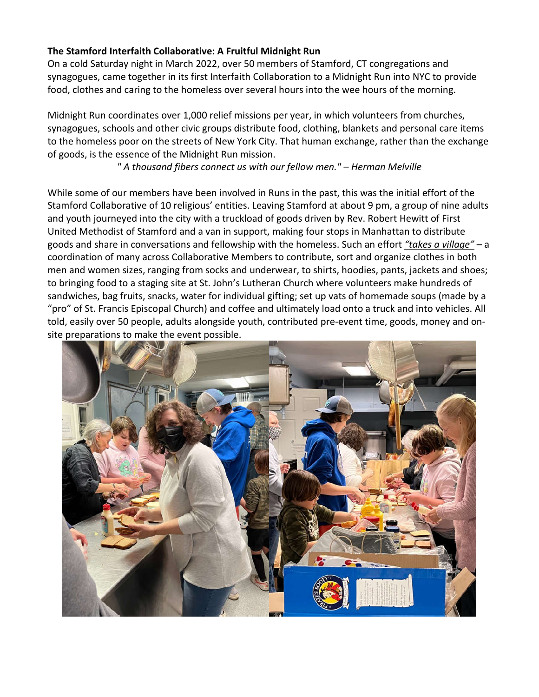## **The Stamford Interfaith Collaborative: A Fruitful Midnight Run**

On a cold Saturday night in March 2022, over 50 members of Stamford, CT congregations and synagogues, came together in its first Interfaith Collaboration to a Midnight Run into NYC to provide food, clothes and caring to the homeless over several hours into the wee hours of the morning.

Midnight Run coordinates over 1,000 relief missions per year, in which volunteers from churches, synagogues, schools and other civic groups distribute food, clothing, blankets and personal care items to the homeless poor on the streets of New York City. That human exchange, rather than the exchange of goods, is the essence of the Midnight Run mission.

*" A thousand fibers connect us with our fellow men." – Herman Melville*

While some of our members have been involved in Runs in the past, this was the initial effort of the Stamford Collaborative of 10 religious' entities. Leaving Stamford at about 9 pm, a group of nine adults and youth journeyed into the city with a truckload of goods driven by Rev. Robert Hewitt of First United Methodist of Stamford and a van in support, making four stops in Manhattan to distribute goods and share in conversations and fellowship with the homeless. Such an effort *"takes a village"* – a coordination of many across Collaborative Members to contribute, sort and organize clothes in both men and women sizes, ranging from socks and underwear, to shirts, hoodies, pants, jackets and shoes; to bringing food to a staging site at St. John's Lutheran Church where volunteers make hundreds of sandwiches, bag fruits, snacks, water for individual gifting; set up vats of homemade soups (made by a "pro" of St. Francis Episcopal Church) and coffee and ultimately load onto a truck and into vehicles. All told, easily over 50 people, adults alongside youth, contributed pre-event time, goods, money and onsite preparations to make the event possible.